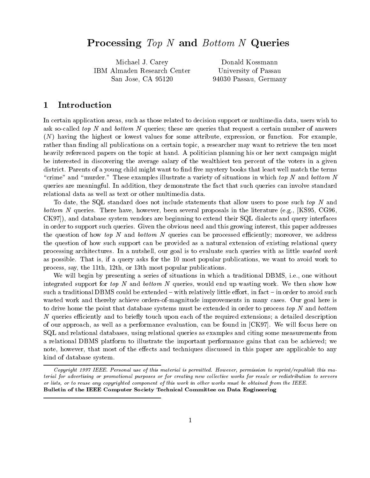# Processing Top <sup>N</sup> and Bottom <sup>N</sup> Queries

———————————————————— IBM Almaden Research Center San Jose, CA 95120

Donald Kossmann University of Passau Passau Germany

# $\bf{1}$ Introduction

In certain application areas- such as those related to decision support or multimedia data- users wish to ask so-called top N and bottom N queries; these are queries that request a certain number of answers N having the highest or lowest values for some attribute- expression- or function For examplerather than nding all publications on a certain topic- a researcher may want to retrieve the ten most heavily referenced papers on the topic at hand. A politician planning his or her next campaign might be interested in discovering the average salary of the wealthiest ten percent of the voters in a given district. Parents of a young child might want to find five mystery books that least well match the terms  $\tau$  crime and  $\tau$  murder. These examples inustrate a variety of situations in which top N and bottom N queries are meaningful In addition- they demonstrate the fact that such queries can involve standard relational data as well as text or other multimedia data

To date- the SQL statement does not include that allows the statements that is not to pose such that  $\sim$   $\mu$ oomone al queries. There have a literature est ocean seleme proposals in the mother leader (and it control CK- and database system vendors are beginning to extend their SQL dialects and query interfaces in order to support such queries Given the obvious need and this growing interest- this paper addresses the question of how top It and bottom It question the processed experience of more than  $\eta$ the question of how such support can be provided as a natural extension of existing relational query processing architectures In a numerical is to goal is to evaluate such as little with a nutshess with a little as possible That is- if a query asks for the most popular publications- we want to avoid work to process-popular publications are the most popular popular publications.

with begin by presenting a series of situations in which a traditions in a traditional DBMS-CHA (2000) without integrated support for top it wild bottom it quelied, no dia up was the motion fit wild wild move it is an out such a traditional DBMS could be extended with relatively little eorg-to avoid such a traditional distribution wasted work and thereby achieve orders-of-magnitude improvements in many cases. Our goal here is to drive home the point that database systems must be extended in order to process top  $N$  and bottom N queries eciently and to briey touch upon each of the required extensions a detailed description of our approach- as well as a performance evaluation- can be found in CK We will focus here on SQL and relational databases- using relational queries as examples and citing some measurements from a relational DBMS platform to illustrate the important performance gains that can be achieved; we ...., including the extraction and the extension techniques discussed in the extraction of the extraction and the extractional to any kind of database system

Copyright - IEEE Personal use of this material is permitted However permission to reprintrepublish this ma terial for advertising or promotional purposes or for creating new col lective works for resale or redistribution to servers or lists, or to reuse any copyrighted component of this work in other works must be obtained from the IEEE. Bulletin of the IEEE Computer Society Technical Committee on Data Engineering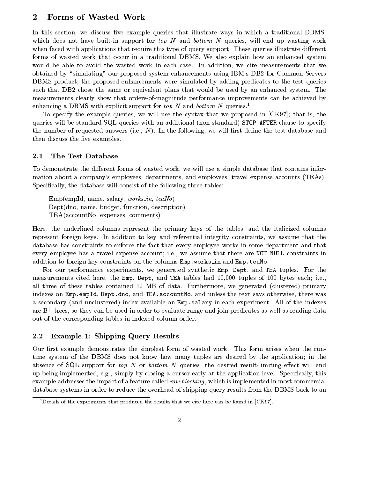# $\overline{2}$ Forms of Wasted Work

In this section- we discuss ve example queries that illustrate ways in which a traditional DBMSwhich does not have built in support for top I and bottom I queries- will end up wasting work. when faced with applications that require this type of query support. These queries illustrate different forms of wasted work that occur in a traditional DBMS We also explain how an enhanced system would be able to avoid the wasted worker in each case India and wasted measurements that we conclude that we c obtained system enhancement sure proposed systems communications using IBMs DB for Common Servers Common Servers DBMS product; the proposed enhancements were simulated by adding predicates to the test queries such that DB2 chose the same or equivalent plans that would be used by an enhanced system. The measurements clearly show that orders-of-magnitude performance improvements can be achieved by enhancing a DBMS with explicit support for top N and bottom N queries.<sup>1</sup>

To specify the example queries- we will use the syntax that we proposed in CK that is- the queries will be standard SQL queries with an additional (non-standard) STOP AFTER clause to specify the number of requested answers in the following-the following-the test database and the test database and the then discuss the five examples.

#### 2.1 The Test Database

- we will use the distribution of wasted workers with the simple work- a simple database that contains information mation about a companys employees- departments- and employees travel expense accounts TEAs Specically- the database will consist of the following three tables

emperature in the salary-salary-salary-salary-salary-salary-salary-salary-salary-salary-salary-salary-salary-s dept. In the function-budget-budget-budget-budget-budget-budget-budget-budget-budget-budget-budget-budget-budg TEACCOUNTS IN THE RESIDENCE OF THE RESIDENCE OF THE RESIDENCE OF THE RESIDENCE OF THE RESIDENCE OF THE RESIDENCE OF THE RESIDENCE OF THE RESIDENCE OF THE RESIDENCE OF THE RESIDENCE OF THE RESIDENCE OF THE RESIDENCE OF THE

Here- the underlined columns represent the primary keys of the tables- and the italicized columns represent foreign keys In addition to key and referential integrity constraints- we assume that the database has constraints to enforce the fact that every employee works in some department and that every employee has a travel employee account in-cycle is the there are no is the are no interesting in the NOT addition to foreign at , there were the columns Emp-will and Emp-clinical Company

For our performance experiments- we generated synthetic Emp- Dept- and TEA tuples For the measurements cited here- the Emp- Dept- and TEA tables had - tuples of bytes each ieall three of these tables contained MB of data Furthermore- we generated clustered primary indexes on Emp-empId- Dept-dno- and TEA-accountNo- and unless the text says otherwise- there was a secondary and unclustered index available on Emp-salary in each experiment All of the indexes are B- trees- so they can be used in order to evaluate range and join predicates as well as reading data out of the corresponding tables in indexed-column order.

#### $2.2\,$ Example 1: Shipping Query Results

Our first example demonstrates the simplest form of wasted work. This form arises when the runtime system of the DBMS does not know how many tuples are desired by the application; in the absence of SQL support for top A or bottom N queries, the desired results-completely except will end up by closing a cursor early a cursos a cursos and application level Species and application level Species and example addresses the impact of a feature called row blocking - which is implemented in most commercial database systems in order to reduce the overhead of shipping query results from the DBMS back to an

Details of the experiments that produced the results that we cite here can be found in  $|\mathtt{CK94}|$ .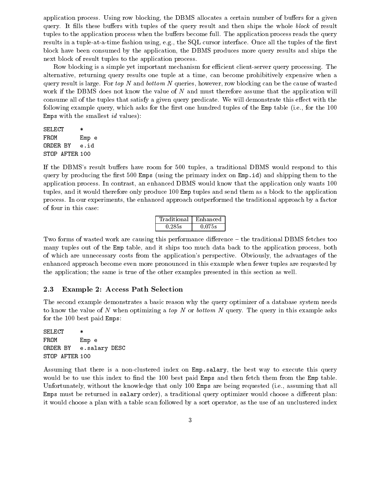application process Using row blocking- the DBMS allocates a certain number of buers for a given query. It fills these buffers with tuples of the query result and then ships the whole block of result tuples to the application process when the buffers become full. The application process reads the query results in a tuple in a time fashion using the two to go the status of the results of the rate interface of th block have been consumed by the application-by the more produces query results and ships the ships the ships t next block of result tuples to the application process

Row blocking is a simple yet important mechanism for efficient client-server query processing. The alternative- returning query results one tuple at a time- can become prohibitively expensive when a  $q$ uery result is large. For top IV and bottom IV  $q$ ueries, however, row blocking can be the cause of wasted work if the DBMS does not know the value of N and must therefore assume that the application will consume all of the tuples that satisfy a given query predicate. We will demonstrate this effect with the following example query- which asks for the rst one hundred tuples of the Emp table ie- for the Emps with the smallest  $id$  values):

SELECT  $\ast$ FROM Emp e ORDER BY e.id STOP AFTER

If the DBMSs result buers have room for tuples- a traditional DBMS would respond to this query by producing the rst Emps using the primary index on Emp-id and shipping them to the application process In contrast- an enhanced DBMS would know that the application only wants tuples- and it would therefore only produce Emp tuples and send them as a block to the application process In our experiments, the enhanced approach outperformed the traditional approach approach and the tradition of four in this case

| Traditional | Enhanced |
|-------------|----------|
| 0.285s      | 0.075s   |

Two forms of wasted work are causing this performance difference – the traditional DBMS fetches too many tuples out of the Emp table- and it ships too much data back to the application process- both of which are unnecessary costs from the applications perspective Obviously- the advantages of the enhanced approach become even more pronounced in this example when fewer tuples are requested by the application; the same is true of the other examples presented in this section as well.

#### 2.3 Example 2: Access Path Selection

The second example demonstrates a basic reason why the query optimizer of a database system needs to know the value of N when optimizing a top N or bottom N query. The query in this example asks for the  $100$  best paid Emps:

SELECT FROM Emp e ORDER BY e.salary DESC STOP AFTER

Assuming that there is a nonclustered index on Emp-salary- the best way to execute this query would be to use this index to find the 100 best paid Emps and then fetch them from the Emp table. United that the knowledge that  $\mathbb{E}[X]$  are being are being requested in the compact  $\mathbb{E}[X]$ Emps must be returned in salary order- a traditional query optimizer would choose a dierent plan it would choose a plan with a table scan followed by a sort operator- as the use of an unclustered index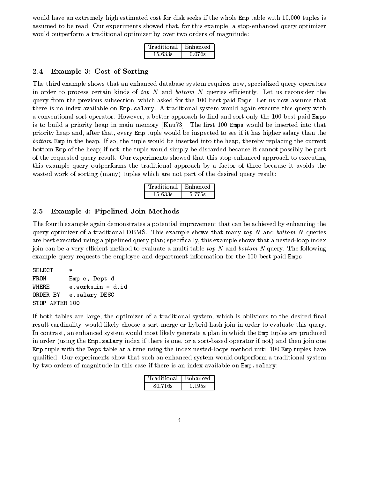where  $\mathbf{r}$  is the whole Empire seeks if the whole Emp table with - tuples if the whole Emp table with - tuples is the whole Emp table with - tuples is the whole Emp table with - tuples is the whole Emp table with - tu assumed to be read Our example-induced that-displayer in this example-induced that-displayer in the stopenhanced optimizer in the stopenhanced optimizer in the stopenhanced query optimizer in the stopenhanced optimizer in would outperform a traditional optimizer by over two orders of magnitude

| Traditional | Enhanced |
|-------------|----------|
| 15 633s     | 0.076s   |

#### $2.4$ Example 3: Cost of Sorting

The third example shows that an enhanced database system requires new- specialized query operators in order to process certain kinds of top N and bottom N queries efficiently. Let us reconsider the query from the previous subsection- which asked for the best paid Emps Let us now assume that there is no index available on Emp-salary A traditional system would again execute this query with a better to not to a better and sort only the sort of and sort on and sort only the sort of the paid Emps is to build a priority heap in main memory [Knu 73]. The first 100 Emps would be inserted into that priority moving and the institution of the inspected to see if it has the second moving that the inspected that the tuple would be interpreted in the tuple would be interested into the function  $\mu$  replacing the current current bottom Emp of the heap if not- the tuple would simply be discarded because it cannot possibly be part of the requested query result Our experiments showed that this stopenhanced approach to executing this example query outperforms the traditional approach by a factor of three because it avoids the wasted work of sorting (many) tuples which are not part of the desired query result:

| Traditional | Enhanced    |
|-------------|-------------|
| 15 633s     | $-5.77$ $-$ |

#### $2.5\,$ Example 4: Pipelined Join Methods

The fourth example again demonstrates a potential improvement that can be achieved by enhancing the query optimizer of a traditional DBMS. This example shows that many top  $N$  and bottom  $N$  queries are best executed using a pipelinear query planny-specifically-this example shows that a nestedloop industryjoin can be a very efficient method to evaluate a multi-table top N and bottom N query. The following example query requests the employee and department information for the 100 best paid Emps:

```
SELECT *
FROM Emp e, Dept d
ORDER BY
         e.salary DESC
STOP AFTER
```
if it are the optimizer of a traditional system of a traditional system, which is oblivious to the desire result cardinality- would likely choose a sortmerge or hybridhash join in order to evaluate this query In contrast- an enhanced system would most likely generate a plan in which the Emp tuples are produced in order using the Emp-salary index if there is one- or a sortbased operator if not and then join one Emp tuple with the Dept table at a time using the index nested-loops method until  $100$  Emp tuples have qualified. Our experiments show that such an enhanced system would outperform a traditional system by two orders of magnitude in this case if there is an index available on Emp-salary

| Traditional | Enhanced |
|-------------|----------|
| 80.716s     | 0.195s   |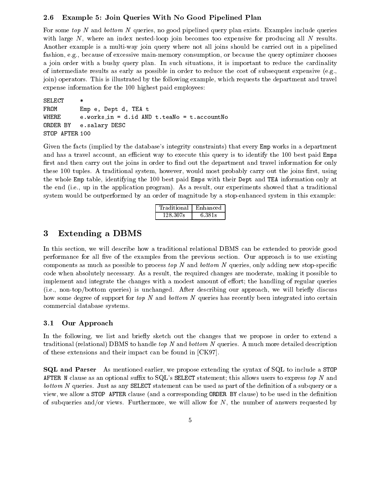#### Example 5: Join Queries With No Good Pipelined Plan  $2.6\,$

For some top <sup>N</sup> and bottom <sup>N</sup> queries- no good pipelined query plan exists Examples include queries with large N- where an index nestedloop join becomes too expensive for producing all <sup>N</sup> results Another example is a multi-way join query where not all joins should be carried out in a pipelined fashion- eg- because of excessive mainmemory consumption- or because the query optimizer chooses a joint corder with a bushy query planet and the collections, it is important to reduce the cardinality of intermediate results as early as possible in order to reduce the cost of subsequent expensive (e.g., join operators This is illustrated by the following example- which requests the department and travel expense information for the 100 highest paid employees:

SELECT  $\ast$ FROM Emp e, Dept d, TEA t WHERE it is a second to a second the second term in the second term in the second term in the second term in the second term in the second term in the second term in the second term in the second term in the second term in the s ORDER BY e-salary DESC STOP AFTER 100

Given the facts (implied by the database's integrity constraints) that every Emp works in a department and a travel account-the to execute this variable this to execute the second paid  $\sim$  to identify the  $\sim$ first and then carry out the joins in order to find out the department and travel information for only these system-distributional system-distribution and probably carry out the joins rst-file and joins rst-file and probably carry out the joins rst-file and probably carry out the joins rst-file and probably carry out the jo the whole Emp table- identifying the best paid Emps with their Dept and TEA information only at the end in the application programmation programments showed that any experiments showed that a traditional co system would be outperformed by an order of magnitude by a stop-enhanced system in this example:

| Traditional | Enhanced |
|-------------|----------|
| $+28.307s$  | 6.381s   |

# $\bf{3}$ Extending <sup>a</sup> DBMS

In this section- we will describe how a traditional relational DBMS can be extended to provide good performance for all five of the examples from the previous section. Our approach is to use existing components as much as possible to process  $\omega p$  iv and  $\omega \omega m$  iv queries, only adding new stop-specific code when absolutely absolutely and moderate-independent changes are moderate-independently to possible to the implement and integrate the changes with a modest amount of effort; the handling of regular queries ie- nontopbottom queries is unchanged After describing our approach- we will briey discuss how some degree of support for top N and bottom N queries has recently been integrated into certain commercial database systems

#### 3.1 Our Approach

In the following- we list and briey sketch out the changes that we propose in order to extend a traditional (relational) DBMS to handle top  $N$  and bottom  $N$  queries. A much more detailed description of these extensions and their impact can be found in  $[CK97]$ .

**SQL** and Parser and Parser As mentioned earlier-the syntax of SQL to include a STOP of SQL to include a STOP of SQL to include AFTER N clause as an optional suffix to SQL's SELECT statement; this allows users to express top N and  $b_{\rm 0}$  or  $b_{\rm 1}$  are  $b_{\rm 0}$  and  $c_{\rm 0}$  as  $c_{\rm 0}$  is a subtracted by the density of a subquery or a subquery or a ...., we allow a STOP AFTER clause and a corresponding order by clause to be used in the density of the density of substitute and  $\alpha$  is allowed furthermore, will allow for the number of answers requestion  $\alpha$  ,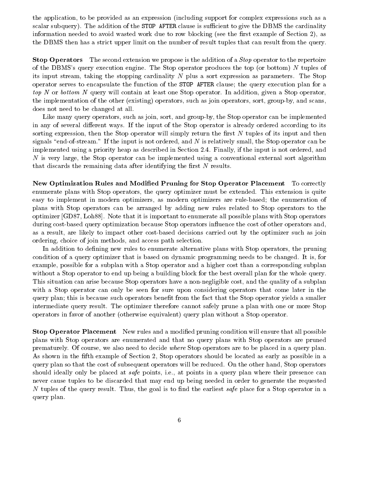the application- to be provided as an expression including support for complex expressions such as a scalar subquery). The addition of the STOP AFTER clause is sufficient to give the DBMS the cardinality information needed to avoid wasted work due to row blocking see the rst example of  $\mathbf{r}$ the DBMS then has a strict upper limit on the number of result tuples that can result from the query

 $S_{\rm tot}$  Operators The second extension we propose is the addition of a  $S_{\rm tot}$  operator to the repertoire of the DBMS's query execution engine. The Stop operator produces the top (or bottom)  $N$  tuples of its input streaming the strepping cardinality is plus a streaming the Street Complete Complete Complete Complete Complete Complete Complete Complete Complete Complete Complete Complete Complete Complete Complete Complete C operator serves to encapsulate the function of the STOP AFTER clause; the query execution plan for a top at least one Stop of the stop contains at least one position- In addition-  $\pi$  and  $\pi$  is a stop operatorthe implementation of the other existing operators- in the other existing operators- in the other existing operatorsdoes not need to be changed at all

— such as in group operators- the sort- operators- in the stop operator can be implemented as the stop operator of the Stop operator can be implemented as the stop operator of the Stop operator of the Stop operator of the in any of several different ways. If the input of the Stop operator is already ordered according to its sorting expression-procession-simply return the Stop operator will simply return the rate of its input and the signals and is the input is not ordered-ordered-input is not one of the stop operator can be a stop of  $\sim$ implemented using a priority health as described in Section 2019, if the input is not ordered-using the increasing  $\sim$ <sup>N</sup> is very large- the Stop operator can be implemented using a conventional external sort algorithm that discards the remaining data after identifying the first  $N$  results.

Ivew Optimization Rules and Modified Fruning for Stop Operator Fracement  $\sim$  Fo correctly enumerate plans with Stop operators- the query optimizer must be extended This extension is quite easy to implement in modern optimizers- as modern optimizers are rulebased the enumeration of plans with Stop operators can be arranged by adding new rules related to Stop operators to the optimizer GD- Loh Note that it is important to enumerate all possible plans with Stop operators during cost-based query optimization because Stop operators influence the cost of other operators and, as a result-y to impact out by the optimizer costs continued decisions carried out by the out by the optimizer ordering- choice of join methods- and access path selection

In addition to dening new rules to enumerate alternative plans with Stop operators- the pruning condition of a query optimizer that is based on dynamic programming needs to be changed It is- for example- possible for a subplan with a Stop operator and a higher cost than a corresponding subplan without a Stop operator to end up being a building block for the best overall plan for the whole query. This situation can arise because Stop operators have a nonnegligible cost- and the quality of a subplan with a Stop operator can only be seen for sure upon considering operators that come later in the query plan; this is because such operators benefit from the fact that the Stop operator yields a smaller intermediate query result. The optimizer therefore cannot safely prune a plan with one or more Stop operators in favor of another (otherwise equivalent) query plan without a Stop operator.

 $S$ top Operator I lacement  $S$  New rules and a modified pruning condition will ensure that all possible plans with Stop operators are enumerated and that no query plans with Stop operators are pruned prematurely Of course-1 we also need to decide where Stop operators are to be placed in a quest, planner as shown in the finite contemple of Section - possible as early as a possible in a stop possible in an early as query plan so that the cost of subsequent operators will be reduced On the other hand- Stop operators should ideally only be placed at paper points- itel at points- in a query plan where the placement can a never cause tuples to be discarded that may end up being needed in order to generate the requested A tuples of the query result Thus, the goal is to him the called the early place for a DVOP Operator in a stop query plan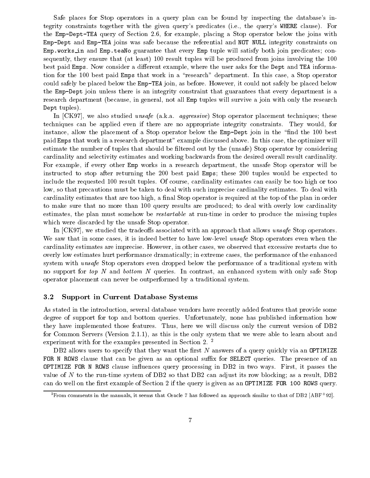Safe places for Stop operators in a query plan can be found by inspecting the database's integrity constraints together with the given querys predicates ie- the querys WHERE clause For the EmpletTea query of Section - for Section - for example-state and state and state and state and state and s Emp-Dept and Emp-TEA joins was safe because the referential and NOT NULL integrity constraints on Emp-works in and Emp-teaNo guarantee that every Emp tuple will satisfy both join predicates con sequence, they ensure that  $\{m\}$  is at least  $\{m\}$  . The produced from  $\{m\}$  the produced from  $\{m\}$ best paid Emps Now consider a dierent example- where the user asks for the Dept and TEA informa tion for the best paid Emps that work in a stop operator in a stop operator in a stop operator in this casecould safely be placed below the EmpTEA join-the EmpTEA join-the placed below the placed below the placed below the placed below the Howeverthe Emp-Dept join unless there is an integrity constraint that guarantees that every department is a research department because-the in general-department will survive a join will survive a join with only the res Dept tuples).

an care in the case studied whose construction week operator placement techniques the correct the second theore techniques can be applied even if there are no appropriate integrity constraints They would- for instance- allow the placement of a Stop operator below the EmpDept join in the nd the best paid Emps that work in a research department example discussed above In this case- the optimizer will estimate the number of tuples that should be filtered out by the (unsafe) Stop operator by considering cardinality and selectivity estimates and working backwards from the desired overall result cardinality For example- if every other Emp works in a research department- the unsafe Stop operator will be instructed to stop after returning the  $200$  best paid Emps; these  $200$  tuples would be expected to include the requested result tuples Of course- cardinality estimates can easily be too high or too low- so that precautions must be taken to deal with such imprecise cardinality estimates To deal with cardinality estimates that are too high-dimensionality estimates the plan in order that the plan in order the p to make sure that no more than 100 query results are produced; to deal with overly low cardinality estimates the plane must sometime in order the must some to produce the produce the missing tuples of the missi which were discarded by the unsafe Stop operator

and is a studied that the tradeositic and allows use the tradeositic strategies with all of the tradeositic st we saw that it is indeed to the some cases of the stop of the stop of the stop of  $\alpha$  operators  $\alpha$  is the state  $\alpha$ cardinality estimates are imprecisely moved that excessive restarts due to case and cases- cases are to control overly low estimates hurt performance dramatically in extreme cases- the performance of the enhanced system with unsafe Stop operators even dropped below the performance of a traditional system with no support for top It and bottom It specific In contrast, with contrast- in the vector  $\mathcal{A}$  and  $\mathcal{A}$  support  $\mathcal{A}$ operator placement can never be outperformed by a traditional system

#### $3.2$ Support in Current Database Systems

As stated in the introduction- several database vendors have recently added features that provide some degree of support for top and bottom queries Unfortunately- none has published information how they have implemented those features Thus- here we will discuss only the current version of DB for Common Servers Version - as this is the only system that we were able to learn about and experiment with for the examples presented in Section 2.<sup>2</sup>

DB2 allows users to specify that they want the first  $N$  answers of a query quickly via an OPTIMIZE FOR N ROWS clause that can be given as an optional suffix for SELECT queries. The presence of an  $\mathbf{r} = \mathbf{r} = \mathbf{r} = \mathbf{r} = \mathbf{r}$ value of <sup>N</sup> to the runtime system of DB so that DB can adjust its row blocking as a result- DB can do well on the first example of Section 2 if the query is given as an OPTIMIZE FOR 100 ROWS query.

<sup>-</sup>from comments in the manuals, it seems that Oracle Thas followed an approach similar to that of DB2  $\vert$ ABF  $\vert$  92).